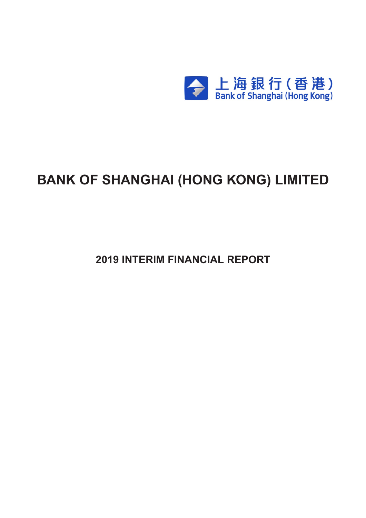

# **BANK OF SHANGHAI (HONG KONG) LIMITED**

**2019 INTERIM FINANCIAL REPORT**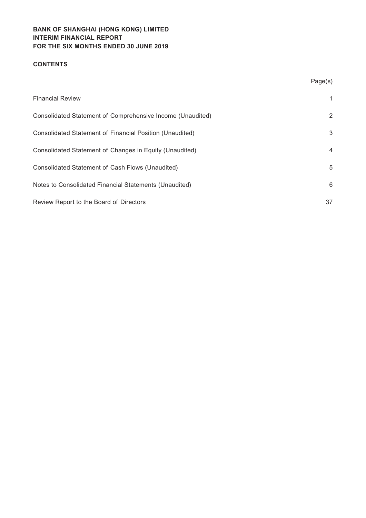# **BANK OF SHANGHAI (HONG KONG) LIMITED Interim financial report For the six months ended 30 June 2019**

# **CONTENTS**

|                                                            | Page(s) |
|------------------------------------------------------------|---------|
| <b>Financial Review</b>                                    | 1       |
| Consolidated Statement of Comprehensive Income (Unaudited) | 2       |
| Consolidated Statement of Financial Position (Unaudited)   | 3       |
| Consolidated Statement of Changes in Equity (Unaudited)    | 4       |
| Consolidated Statement of Cash Flows (Unaudited)           | 5       |
| Notes to Consolidated Financial Statements (Unaudited)     | 6       |
| Review Report to the Board of Directors                    | 37      |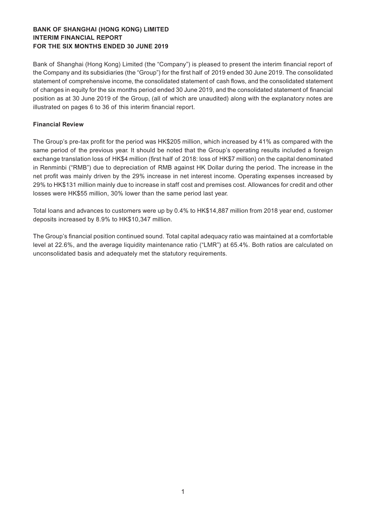# **BANK OF SHANGHAI (HONG KONG) LIMITED Interim financial report For the six months ended 30 June 2019**

Bank of Shanghai (Hong Kong) Limited (the "Company") is pleased to present the interim financial report of the Company and its subsidiaries (the "Group") for the first half of 2019 ended 30 June 2019. The consolidated statement of comprehensive income, the consolidated statement of cash flows, and the consolidated statement of changes in equity for the six months period ended 30 June 2019, and the consolidated statement of financial position as at 30 June 2019 of the Group, (all of which are unaudited) along with the explanatory notes are illustrated on pages 6 to 36 of this interim financial report.

## **Financial Review**

The Group's pre-tax profit for the period was HK\$205 million, which increased by 41% as compared with the same period of the previous year. It should be noted that the Group's operating results included a foreign exchange translation loss of HK\$4 million (first half of 2018: loss of HK\$7 million) on the capital denominated in Renminbi ("RMB") due to depreciation of RMB against HK Dollar during the period. The increase in the net profit was mainly driven by the 29% increase in net interest income. Operating expenses increased by 29% to HK\$131 million mainly due to increase in staff cost and premises cost. Allowances for credit and other losses were HK\$55 million, 30% lower than the same period last year.

Total loans and advances to customers were up by 0.4% to HK\$14,887 million from 2018 year end, customer deposits increased by 8.9% to HK\$10,347 million.

The Group's financial position continued sound. Total capital adequacy ratio was maintained at a comfortable level at 22.6%, and the average liquidity maintenance ratio ("LMR") at 65.4%. Both ratios are calculated on unconsolidated basis and adequately met the statutory requirements.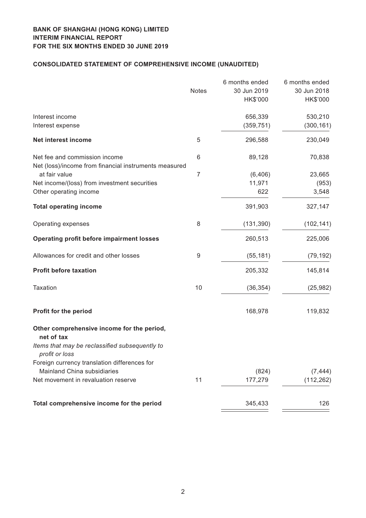# **CONSOLIDATED STATEMENT OF COMPREHENSIVE INCOME (unaudited)**

| <b>Notes</b>     | 6 months ended<br>30 Jun 2019                                           | 6 months ended<br>30 Jun 2018 |
|------------------|-------------------------------------------------------------------------|-------------------------------|
|                  | HK\$'000                                                                | HK\$'000                      |
|                  | 656,339                                                                 | 530,210                       |
|                  | (359, 751)                                                              | (300, 161)                    |
| 5                | 296,588                                                                 | 230,049                       |
| 6                | 89,128                                                                  | 70,838                        |
|                  |                                                                         |                               |
|                  |                                                                         | 23,665                        |
|                  | 622                                                                     | (953)<br>3,548                |
|                  | 391,903                                                                 | 327,147                       |
| 8                | (131, 390)                                                              | (102, 141)                    |
|                  | 260,513                                                                 | 225,006                       |
| $\boldsymbol{9}$ | (55, 181)                                                               | (79, 192)                     |
|                  | 205,332                                                                 | 145,814                       |
| 10               | (36, 354)                                                               | (25, 982)                     |
|                  | 168,978                                                                 | 119,832                       |
|                  |                                                                         |                               |
|                  |                                                                         |                               |
|                  |                                                                         |                               |
|                  | (824)                                                                   | (7, 444)                      |
| 11               | 177,279                                                                 | (112, 262)                    |
|                  | 345,433                                                                 | 126                           |
|                  | Net (loss)/income from financial instruments measured<br>$\overline{7}$ | (6, 406)<br>11,971            |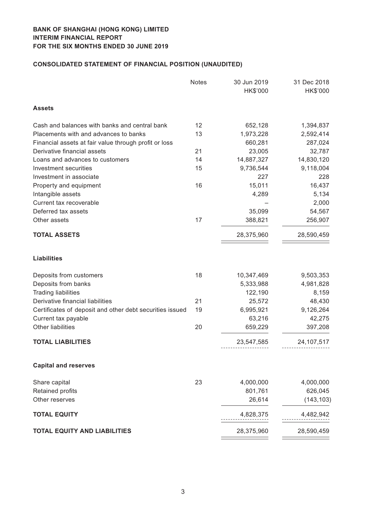# **CONSOLIDATED STATEMENT OF FINANCIAL POSITION (unaudited)**

|                                                          | <b>Notes</b> | 30 Jun 2019<br>HK\$'000 | 31 Dec 2018<br>HK\$'000 |
|----------------------------------------------------------|--------------|-------------------------|-------------------------|
| <b>Assets</b>                                            |              |                         |                         |
| Cash and balances with banks and central bank            | 12           | 652,128                 | 1,394,837               |
| Placements with and advances to banks                    | 13           | 1,973,228               | 2,592,414               |
| Financial assets at fair value through profit or loss    |              | 660,281                 | 287,024                 |
| Derivative financial assets                              | 21           | 23,005                  | 32,787                  |
| Loans and advances to customers                          | 14           | 14,887,327              | 14,830,120              |
| Investment securities                                    | 15           | 9,736,544               | 9,118,004               |
| Investment in associate                                  |              | 227                     | 228                     |
| Property and equipment                                   | 16           | 15,011                  | 16,437                  |
| Intangible assets                                        |              | 4,289                   | 5,134                   |
| Current tax recoverable                                  |              |                         | 2,000                   |
| Deferred tax assets                                      |              | 35,099                  | 54,567                  |
| Other assets                                             | 17           | 388,821                 | 256,907                 |
| <b>TOTAL ASSETS</b>                                      |              | 28,375,960              | 28,590,459              |
| <b>Liabilities</b>                                       |              |                         |                         |
| Deposits from customers                                  | 18           | 10,347,469              | 9,503,353               |
| Deposits from banks                                      |              | 5,333,988               | 4,981,828               |
| <b>Trading liabilities</b>                               |              | 122,190                 | 8,159                   |
| Derivative financial liabilities                         | 21           | 25,572                  | 48,430                  |
| Certificates of deposit and other debt securities issued | 19           | 6,995,921               | 9,126,264               |
| Current tax payable                                      |              | 63,216                  | 42,275                  |
| Other liabilities                                        | 20           | 659,229                 | 397,208                 |
| <b>TOTAL LIABILITIES</b>                                 |              | 23,547,585              | 24, 107, 517            |
| <b>Capital and reserves</b>                              |              |                         |                         |
| Share capital                                            | 23           | 4,000,000               | 4,000,000               |
| Retained profits                                         |              | 801,761                 | 626,045                 |
| Other reserves                                           |              | 26,614                  | (143, 103)              |
| <b>TOTAL EQUITY</b>                                      |              | 4,828,375               | 4,482,942               |
| <b>TOTAL EQUITY AND LIABILITIES</b>                      |              | 28,375,960              | 28,590,459              |
|                                                          |              |                         |                         |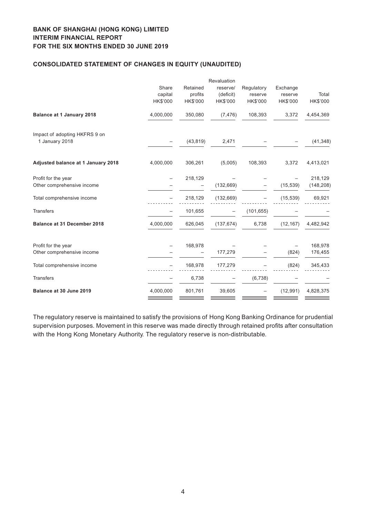# **BANK OF SHANGHAI (HONG KONG) LIMITED Interim financial report For the six months ended 30 June 2019**

## **CONSOLIDATED STATEMENT OF CHANGES IN EQUITY (unaudited)**

|                                    |           |           | Revaluation |            |           |            |
|------------------------------------|-----------|-----------|-------------|------------|-----------|------------|
|                                    | Share     | Retained  | reserve/    | Regulatory | Exchange  |            |
|                                    | capital   | profits   | (deficit)   | reserve    | reserve   | Total      |
|                                    | HK\$'000  | HK\$'000  | HK\$'000    | HK\$'000   | HK\$'000  | HK\$'000   |
| <b>Balance at 1 January 2018</b>   | 4,000,000 | 350,080   | (7, 476)    | 108,393    | 3,372     | 4,454,369  |
| Impact of adopting HKFRS 9 on      |           |           |             |            |           |            |
| 1 January 2018                     |           | (43, 819) | 2,471       |            |           | (41, 348)  |
| Adjusted balance at 1 January 2018 | 4,000,000 | 306,261   | (5,005)     | 108,393    | 3,372     | 4,413,021  |
| Profit for the year                |           | 218,129   |             |            |           | 218,129    |
| Other comprehensive income         |           |           | (132, 669)  |            | (15, 539) | (148, 208) |
| Total comprehensive income         |           | 218,129   | (132, 669)  |            | (15, 539) | 69,921     |
| <b>Transfers</b>                   |           | 101,655   |             | (101, 655) |           |            |
| <b>Balance at 31 December 2018</b> | 4,000,000 | 626,045   | (137, 674)  | 6,738      | (12, 167) | 4,482,942  |
| Profit for the year                |           | 168,978   |             |            |           | 168,978    |
| Other comprehensive income         |           |           | 177,279     |            | (824)     | 176,455    |
| Total comprehensive income         |           | 168,978   | 177,279     |            | (824)     | 345,433    |
| <b>Transfers</b>                   |           | 6,738     |             | (6, 738)   |           |            |
| Balance at 30 June 2019            | 4,000,000 | 801,761   | 39,605      |            | (12, 991) | 4,828,375  |
|                                    |           |           |             |            |           |            |

The regulatory reserve is maintained to satisfy the provisions of Hong Kong Banking Ordinance for prudential supervision purposes. Movement in this reserve was made directly through retained profits after consultation with the Hong Kong Monetary Authority. The regulatory reserve is non-distributable.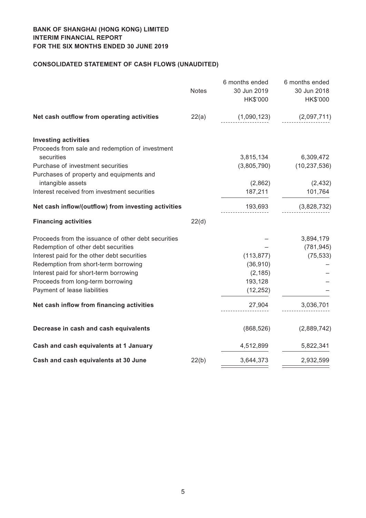# **CONSOLIDATED STATEMENT OF CASH FLOWS (unaudited)**

| <b>Notes</b> | 6 months ended<br>30 Jun 2019<br>HK\$'000 | 6 months ended<br>30 Jun 2018<br>HK\$'000      |
|--------------|-------------------------------------------|------------------------------------------------|
| 22(a)        | (1,090,123)                               | (2,097,711)                                    |
|              |                                           |                                                |
|              |                                           |                                                |
|              |                                           | 6,309,472                                      |
|              |                                           | (10, 237, 536)                                 |
|              |                                           |                                                |
|              |                                           | (2, 432)                                       |
|              |                                           | 101,764                                        |
|              | 193,693                                   | (3,828,732)                                    |
| 22(d)        |                                           |                                                |
|              |                                           | 3,894,179                                      |
|              |                                           | (781, 945)                                     |
|              | (113, 877)                                | (75, 533)                                      |
|              | (36, 910)                                 |                                                |
|              | (2, 185)                                  |                                                |
|              | 193,128                                   |                                                |
|              | (12, 252)                                 |                                                |
|              | 27,904                                    | 3,036,701                                      |
|              | (868, 526)                                | (2,889,742)                                    |
|              | 4,512,899                                 | 5,822,341                                      |
| 22(b)        | 3,644,373                                 | 2,932,599                                      |
|              |                                           | 3,815,134<br>(3,805,790)<br>(2,862)<br>187,211 |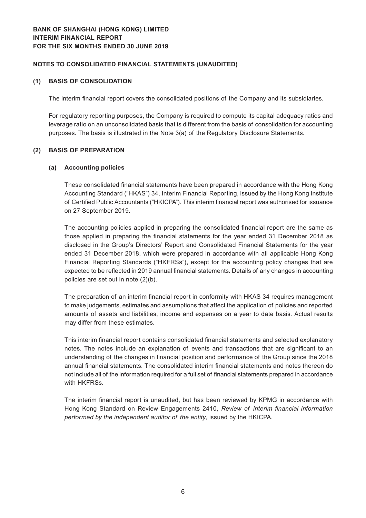## **Notes to Consolidated Financial Statements (Unaudited)**

#### **(1) BASIS OF CONSOLIDATION**

The interim financial report covers the consolidated positions of the Company and its subsidiaries.

For regulatory reporting purposes, the Company is required to compute its capital adequacy ratios and leverage ratio on an unconsolidated basis that is different from the basis of consolidation for accounting purposes. The basis is illustrated in the Note 3(a) of the Regulatory Disclosure Statements.

## **(2) BASIS OF PREPARATION**

#### **(a) Accounting policies**

These consolidated financial statements have been prepared in accordance with the Hong Kong Accounting Standard ("HKAS") 34, Interim Financial Reporting, issued by the Hong Kong Institute of Certified Public Accountants ("HKICPA"). This interim financial report was authorised for issuance on 27 September 2019.

The accounting policies applied in preparing the consolidated financial report are the same as those applied in preparing the financial statements for the year ended 31 December 2018 as disclosed in the Group's Directors' Report and Consolidated Financial Statements for the year ended 31 December 2018, which were prepared in accordance with all applicable Hong Kong Financial Reporting Standards ("HKFRSs"), except for the accounting policy changes that are expected to be reflected in 2019 annual financial statements. Details of any changes in accounting policies are set out in note (2)(b).

The preparation of an interim financial report in conformity with HKAS 34 requires management to make judgements, estimates and assumptions that affect the application of policies and reported amounts of assets and liabilities, income and expenses on a year to date basis. Actual results may differ from these estimates.

This interim financial report contains consolidated financial statements and selected explanatory notes. The notes include an explanation of events and transactions that are significant to an understanding of the changes in financial position and performance of the Group since the 2018 annual financial statements. The consolidated interim financial statements and notes thereon do not include all of the information required for a full set of financial statements prepared in accordance with HKFRSs.

The interim financial report is unaudited, but has been reviewed by KPMG in accordance with Hong Kong Standard on Review Engagements 2410, *Review of interim financial information performed by the independent auditor of the entity*, issued by the HKICPA.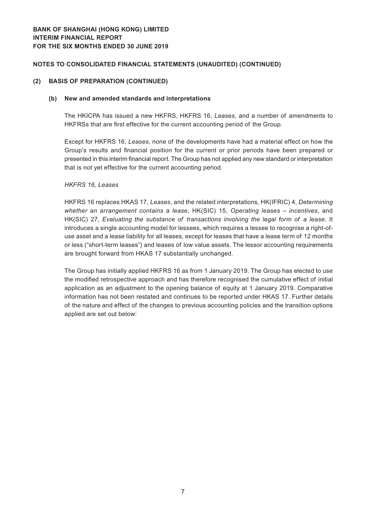#### **(2) BASIS OF PREPARATION (CONTINUED)**

#### **(b) New and amended standards and interpretations**

The HKICPA has issued a new HKFRS, HKFRS 16, *Leases*, and a number of amendments to HKFRSs that are first effective for the current accounting period of the Group.

Except for HKFRS 16, *Leases*, none of the developments have had a material effect on how the Group's results and financial position for the current or prior periods have been prepared or presented in this interim financial report. The Group has not applied any new standard or interpretation that is not yet effective for the current accounting period.

#### *HKFRS 16, Leases*

HKFRS 16 replaces HKAS 17, *Leases*, and the related interpretations, HK(IFRIC) 4, *Determining whether an arrangement contains a lease*, HK(SIC) 15, *Operating leases – incentives*, and HK(SIC) 27, *Evaluating the substance of transactions involving the legal form of a lease*. It introduces a single accounting model for lessees, which requires a lessee to recognise a right-ofuse asset and a lease liability for all leases, except for leases that have a lease term of 12 months or less ("short-term leases") and leases of low value assets. The lessor accounting requirements are brought forward from HKAS 17 substantially unchanged.

The Group has initially applied HKFRS 16 as from 1 January 2019. The Group has elected to use the modified retrospective approach and has therefore recognised the cumulative effect of initial application as an adjustment to the opening balance of equity at 1 January 2019. Comparative information has not been restated and continues to be reported under HKAS 17. Further details of the nature and effect of the changes to previous accounting policies and the transition options applied are set out below: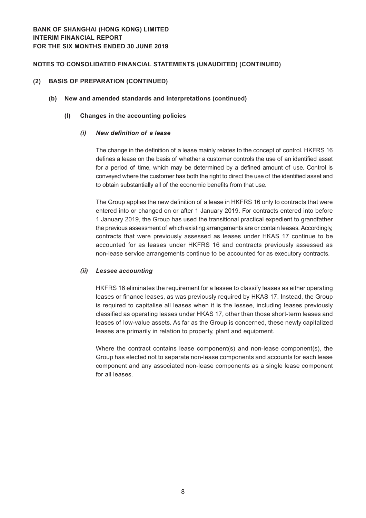#### **(2) BASIS OF PREPARATION (CONTINUED)**

#### **(b) New and amended standards and interpretations (continued)**

#### **(I) Changes in the accounting policies**

#### *(i) New definition of a lease*

The change in the definition of a lease mainly relates to the concept of control. HKFRS 16 defines a lease on the basis of whether a customer controls the use of an identified asset for a period of time, which may be determined by a defined amount of use. Control is conveyed where the customer has both the right to direct the use of the identified asset and to obtain substantially all of the economic benefits from that use.

The Group applies the new definition of a lease in HKFRS 16 only to contracts that were entered into or changed on or after 1 January 2019. For contracts entered into before 1 January 2019, the Group has used the transitional practical expedient to grandfather the previous assessment of which existing arrangements are or contain leases. Accordingly, contracts that were previously assessed as leases under HKAS 17 continue to be accounted for as leases under HKFRS 16 and contracts previously assessed as non-lease service arrangements continue to be accounted for as executory contracts.

## *(ii) Lessee accounting*

HKFRS 16 eliminates the requirement for a lessee to classify leases as either operating leases or finance leases, as was previously required by HKAS 17. Instead, the Group is required to capitalise all leases when it is the lessee, including leases previously classified as operating leases under HKAS 17, other than those short-term leases and leases of low-value assets. As far as the Group is concerned, these newly capitalized leases are primarily in relation to property, plant and equipment.

Where the contract contains lease component(s) and non-lease component(s), the Group has elected not to separate non-lease components and accounts for each lease component and any associated non-lease components as a single lease component for all leases.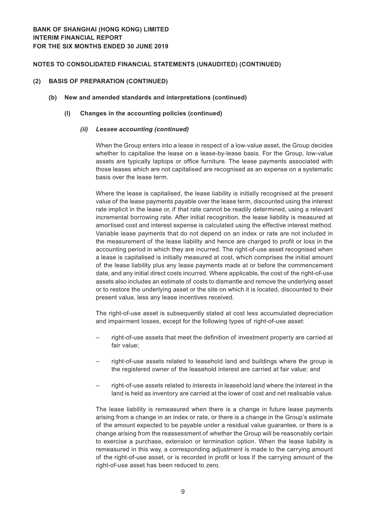#### **(2) BASIS OF PREPARATION (CONTINUED)**

#### **(b) New and amended standards and interpretations (continued)**

#### **(I) Changes in the accounting policies (continued)**

#### *(ii) Lessee accounting (continued)*

When the Group enters into a lease in respect of a low-value asset, the Group decides whether to capitalise the lease on a lease-by-lease basis. For the Group, low-value assets are typically laptops or office furniture. The lease payments associated with those leases which are not capitalised are recognised as an expense on a systematic basis over the lease term.

Where the lease is capitalised, the lease liability is initially recognised at the present value of the lease payments payable over the lease term, discounted using the interest rate implicit in the lease or, if that rate cannot be readily determined, using a relevant incremental borrowing rate. After initial recognition, the lease liability is measured at amortised cost and interest expense is calculated using the effective interest method. Variable lease payments that do not depend on an index or rate are not included in the measurement of the lease liability and hence are charged to profit or loss in the accounting period in which they are incurred. The right-of-use asset recognised when a lease is capitalised is initially measured at cost, which comprises the initial amount of the lease liability plus any lease payments made at or before the commencement date, and any initial direct costs incurred. Where applicable, the cost of the right-of-use assets also includes an estimate of costs to dismantle and remove the underlying asset or to restore the underlying asset or the site on which it is located, discounted to their present value, less any lease incentives received.

The right-of-use asset is subsequently stated at cost less accumulated depreciation and impairment losses, except for the following types of right-of-use asset:

- right-of-use assets that meet the definition of investment property are carried at fair value;
- right-of-use assets related to leasehold land and buildings where the group is the registered owner of the leasehold interest are carried at fair value; and
- right-of-use assets related to interests in leasehold land where the interest in the land is held as inventory are carried at the lower of cost and net realisable value.

The lease liability is remeasured when there is a change in future lease payments arising from a change in an index or rate, or there is a change in the Group's estimate of the amount expected to be payable under a residual value guarantee, or there is a change arising from the reassessment of whether the Group will be reasonably certain to exercise a purchase, extension or termination option. When the lease liability is remeasured in this way, a corresponding adjustment is made to the carrying amount of the right-of-use asset, or is recorded in profit or loss if the carrying amount of the right-of-use asset has been reduced to zero.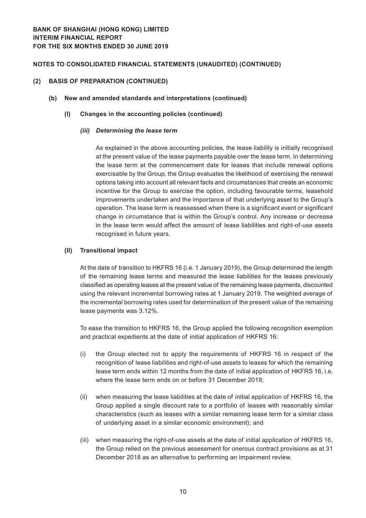#### **(2) BASIS OF PREPARATION (CONTINUED)**

#### **(b) New and amended standards and interpretations (continued)**

#### **(I) Changes in the accounting policies (continued)**

#### *(iii) Determining the lease term*

As explained in the above accounting policies, the lease liability is initially recognised at the present value of the lease payments payable over the lease term. In determining the lease term at the commencement date for leases that include renewal options exercisable by the Group, the Group evaluates the likelihood of exercising the renewal options taking into account all relevant facts and circumstances that create an economic incentive for the Group to exercise the option, including favourable terms, leasehold improvements undertaken and the importance of that underlying asset to the Group's operation. The lease term is reassessed when there is a significant event or significant change in circumstance that is within the Group's control. Any increase or decrease in the lease term would affect the amount of lease liabilities and right-of-use assets recognised in future years.

#### **(II) Transitional impact**

At the date of transition to HKFRS 16 (i.e. 1 January 2019), the Group determined the length of the remaining lease terms and measured the lease liabilities for the leases previously classified as operating leases at the present value of the remaining lease payments, discounted using the relevant incremental borrowing rates at 1 January 2019. The weighted average of the incremental borrowing rates used for determination of the present value of the remaining lease payments was 3.12%.

To ease the transition to HKFRS 16, the Group applied the following recognition exemption and practical expedients at the date of initial application of HKFRS 16:

- (i) the Group elected not to apply the requirements of HKFRS 16 in respect of the recognition of lease liabilities and right-of-use assets to leases for which the remaining lease term ends within 12 months from the date of initial application of HKFRS 16, i.e. where the lease term ends on or before 31 December 2019;
- (ii) when measuring the lease liabilities at the date of initial application of HKFRS 16, the Group applied a single discount rate to a portfolio of leases with reasonably similar characteristics (such as leases with a similar remaining lease term for a similar class of underlying asset in a similar economic environment); and
- (iii) when measuring the right-of-use assets at the date of initial application of HKFRS 16, the Group relied on the previous assessment for onerous contract provisions as at 31 December 2018 as an alternative to performing an impairment review.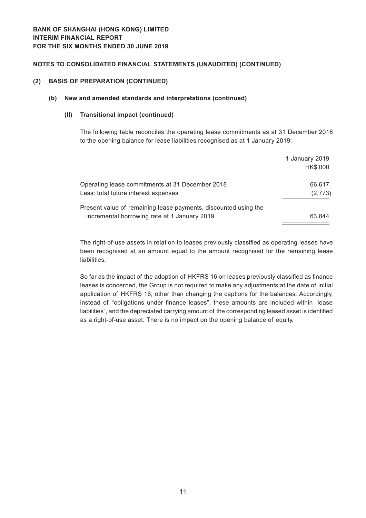#### **(2) BASIS OF PREPARATION (CONTINUED)**

## **(b) New and amended standards and interpretations (continued)**

#### **(II) Transitional impact (continued)**

The following table reconciles the operating lease commitments as at 31 December 2018 to the opening balance for lease liabilities recognised as at 1 January 2019:

|                                                                                                                 | 1 January 2019<br>HK\$'000 |
|-----------------------------------------------------------------------------------------------------------------|----------------------------|
| Operating lease commitments at 31 December 2018<br>Less: total future interest expenses                         | 66,617<br>(2,773)          |
| Present value of remaining lease payments, discounted using the<br>incremental borrowing rate at 1 January 2019 | 63.844                     |

The right-of-use assets in relation to leases previously classified as operating leases have been recognised at an amount equal to the amount recognised for the remaining lease liabilities.

So far as the impact of the adoption of HKFRS 16 on leases previously classified as finance leases is concerned, the Group is not required to make any adjustments at the date of initial application of HKFRS 16, other than changing the captions for the balances. Accordingly, instead of "obligations under finance leases", these amounts are included within "lease liabilities", and the depreciated carrying amount of the corresponding leased asset is identified as a right-of-use asset. There is no impact on the opening balance of equity.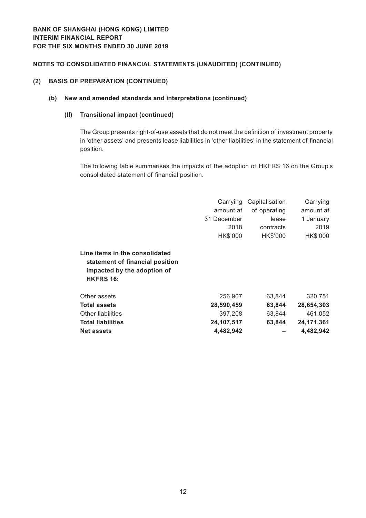#### **(2) BASIS OF PREPARATION (CONTINUED)**

## **(b) New and amended standards and interpretations (continued)**

## **(II) Transitional impact (continued)**

The Group presents right-of-use assets that do not meet the definition of investment property in 'other assets' and presents lease liabilities in 'other liabilities' in the statement of financial position.

The following table summarises the impacts of the adoption of HKFRS 16 on the Group's consolidated statement of financial position.

|                                                                                                                      | Carrying    | Capitalisation | Carrying     |
|----------------------------------------------------------------------------------------------------------------------|-------------|----------------|--------------|
|                                                                                                                      | amount at   | of operating   | amount at    |
|                                                                                                                      | 31 December | lease          | 1 January    |
|                                                                                                                      | 2018        | contracts      | 2019         |
|                                                                                                                      | HK\$'000    | HK\$'000       | HK\$'000     |
| Line items in the consolidated<br>statement of financial position<br>impacted by the adoption of<br><b>HKFRS 16:</b> |             |                |              |
| Other assets                                                                                                         | 256,907     | 63,844         | 320,751      |
| <b>Total assets</b>                                                                                                  | 28,590,459  | 63,844         | 28,654,303   |
| Other liabilities                                                                                                    | 397,208     | 63,844         | 461,052      |
| <b>Total liabilities</b>                                                                                             | 24,107,517  | 63,844         | 24, 171, 361 |
| <b>Net assets</b>                                                                                                    | 4,482,942   |                | 4,482,942    |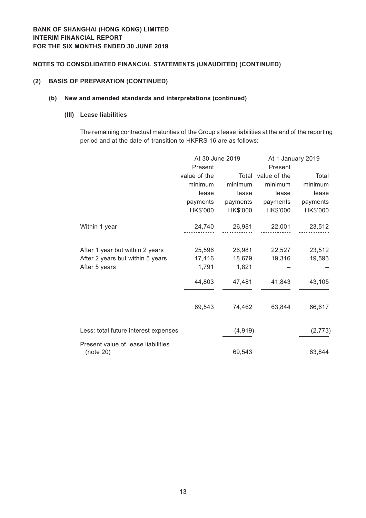#### **(2) BASIS OF PREPARATION (CONTINUED)**

## **(b) New and amended standards and interpretations (continued)**

#### **(III) Lease liabilities**

The remaining contractual maturities of the Group's lease liabilities at the end of the reporting period and at the date of transition to HKFRS 16 are as follows:

|                                                 | At 30 June 2019 |          | At 1 January 2019  |          |  |
|-------------------------------------------------|-----------------|----------|--------------------|----------|--|
|                                                 | Present         |          | Present            |          |  |
|                                                 | value of the    |          | Total value of the | Total    |  |
|                                                 | minimum         | minimum  | minimum            | minimum  |  |
|                                                 | lease           | lease    | lease              | lease    |  |
|                                                 | payments        | payments | payments           | payments |  |
|                                                 | HK\$'000        | HK\$'000 | HK\$'000           | HK\$'000 |  |
| Within 1 year                                   | 24,740          | 26,981   | 22,001             | 23,512   |  |
| After 1 year but within 2 years                 | 25,596          | 26,981   | 22,527             | 23,512   |  |
| After 2 years but within 5 years                | 17,416          | 18,679   | 19,316             | 19,593   |  |
| After 5 years                                   | 1,791           | 1,821    |                    |          |  |
|                                                 | 44,803          | 47,481   | 41,843             | 43,105   |  |
|                                                 | 69,543          | 74,462   | 63,844             | 66,617   |  |
| Less: total future interest expenses            |                 | (4, 919) |                    | (2, 773) |  |
| Present value of lease liabilities<br>(note 20) |                 | 69,543   |                    | 63,844   |  |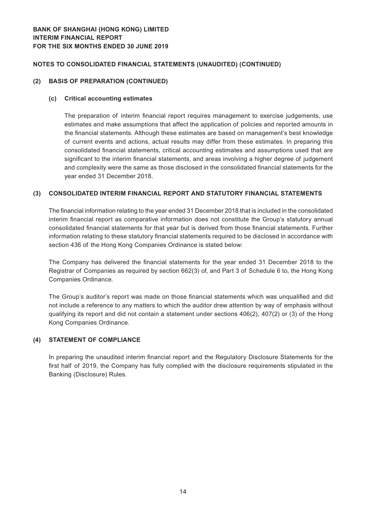#### **(2) BASIS OF PREPARATION (CONTINUED)**

#### **(c) Critical accounting estimates**

The preparation of interim financial report requires management to exercise judgements, use estimates and make assumptions that affect the application of policies and reported amounts in the financial statements. Although these estimates are based on management's best knowledge of current events and actions, actual results may differ from these estimates. In preparing this consolidated financial statements, critical accounting estimates and assumptions used that are significant to the interim financial statements, and areas involving a higher degree of judgement and complexity were the same as those disclosed in the consolidated financial statements for the year ended 31 December 2018.

## **(3) CONSOLIDATED INTERIM FINANCIAL REPORT AND STATUTORY FINANCIAL STATEMENTS**

The financial information relating to the year ended 31 December 2018 that is included in the consolidated interim financial report as comparative information does not constitute the Group's statutory annual consolidated financial statements for that year but is derived from those financial statements. Further information relating to these statutory financial statements required to be disclosed in accordance with section 436 of the Hong Kong Companies Ordinance is stated below:

The Company has delivered the financial statements for the year ended 31 December 2018 to the Registrar of Companies as required by section 662(3) of, and Part 3 of Schedule 6 to, the Hong Kong Companies Ordinance.

The Group's auditor's report was made on those financial statements which was unqualified and did not include a reference to any matters to which the auditor drew attention by way of emphasis without qualifying its report and did not contain a statement under sections 406(2), 407(2) or (3) of the Hong Kong Companies Ordinance.

## **(4) STATEMENT OF COMPLIANCE**

In preparing the unaudited interim financial report and the Regulatory Disclosure Statements for the first half of 2019, the Company has fully complied with the disclosure requirements stipulated in the Banking (Disclosure) Rules.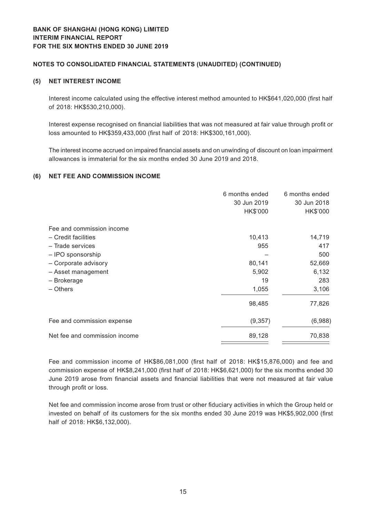#### **(5) NET INTEREST INCOME**

Interest income calculated using the effective interest method amounted to HK\$641,020,000 (first half of 2018: HK\$530,210,000).

Interest expense recognised on financial liabilities that was not measured at fair value through profit or loss amounted to HK\$359,433,000 (first half of 2018: HK\$300,161,000).

The interest income accrued on impaired financial assets and on unwinding of discount on loan impairment allowances is immaterial for the six months ended 30 June 2019 and 2018.

## **(6) NET FEE AND COMMISSION INCOME**

|                               | 6 months ended | 6 months ended |
|-------------------------------|----------------|----------------|
|                               | 30 Jun 2019    | 30 Jun 2018    |
|                               | HK\$'000       | HK\$'000       |
| Fee and commission income     |                |                |
| - Credit facilities           | 10,413         | 14,719         |
| - Trade services              | 955            | 417            |
| - IPO sponsorship             |                | 500            |
| - Corporate advisory          | 80,141         | 52,669         |
| - Asset management            | 5,902          | 6,132          |
| - Brokerage                   | 19             | 283            |
| - Others                      | 1,055          | 3,106          |
|                               | 98,485         | 77,826         |
| Fee and commission expense    | (9, 357)       | (6,988)        |
| Net fee and commission income | 89,128         | 70,838         |
|                               |                |                |

Fee and commission income of HK\$86,081,000 (first half of 2018: HK\$15,876,000) and fee and commission expense of HK\$8,241,000 (first half of 2018: HK\$6,621,000) for the six months ended 30 June 2019 arose from financial assets and financial liabilities that were not measured at fair value through profit or loss.

Net fee and commission income arose from trust or other fiduciary activities in which the Group held or invested on behalf of its customers for the six months ended 30 June 2019 was HK\$5,902,000 (first half of 2018: HK\$6,132,000).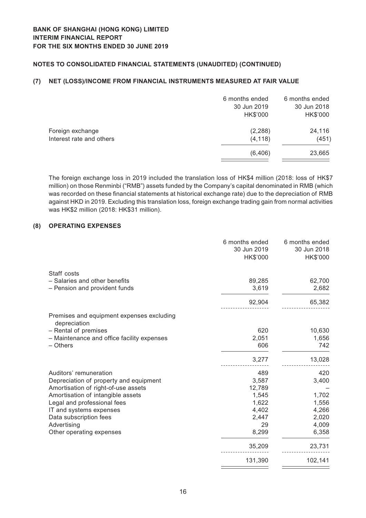## **(7) NET (LOSS)/INCOME FROM FINANCIAL INSTRUMENTS MEASURED AT FAIR VALUE**

|                          | 6 months ended | 6 months ended |
|--------------------------|----------------|----------------|
|                          | 30 Jun 2019    | 30 Jun 2018    |
|                          | HK\$'000       | HK\$'000       |
| Foreign exchange         | (2, 288)       | 24,116         |
| Interest rate and others | (4, 118)       | (451)          |
|                          | (6, 406)       | 23,665         |
|                          |                |                |

The foreign exchange loss in 2019 included the translation loss of HK\$4 million (2018: loss of HK\$7 million) on those Renminbi ("RMB") assets funded by the Company's capital denominated in RMB (which was recorded on these financial statements at historical exchange rate) due to the depreciation of RMB against HKD in 2019. Excluding this translation loss, foreign exchange trading gain from normal activities was HK\$2 million (2018: HK\$31 million).

## **(8) OPERATING EXPENSES**

|                                                           | 6 months ended<br>30 Jun 2019<br>HK\$'000 | 6 months ended<br>30 Jun 2018<br>HK\$'000 |
|-----------------------------------------------------------|-------------------------------------------|-------------------------------------------|
| Staff costs<br>- Salaries and other benefits              | 89,285                                    | 62,700                                    |
| - Pension and provident funds                             | 3,619                                     | 2,682                                     |
|                                                           | 92,904                                    | 65,382                                    |
| Premises and equipment expenses excluding<br>depreciation |                                           |                                           |
| - Rental of premises                                      | 620                                       | 10,630                                    |
| - Maintenance and office facility expenses                | 2,051                                     | 1,656                                     |
| - Others                                                  | 606                                       | 742                                       |
|                                                           | 3,277                                     | 13,028                                    |
| Auditors' remuneration                                    | 489                                       | 420                                       |
| Depreciation of property and equipment                    | 3,587                                     | 3,400                                     |
| Amortisation of right-of-use assets                       | 12,789                                    |                                           |
| Amortisation of intangible assets                         | 1,545                                     | 1,702                                     |
| Legal and professional fees                               | 1,622                                     | 1,556                                     |
| IT and systems expenses                                   | 4,402                                     | 4,266                                     |
| Data subscription fees                                    | 2,447                                     | 2,020                                     |
| Advertising                                               | 29                                        | 4,009                                     |
| Other operating expenses                                  | 8,299                                     | 6,358                                     |
|                                                           | 35,209                                    | 23,731                                    |
|                                                           | 131,390                                   | 102,141                                   |
|                                                           |                                           |                                           |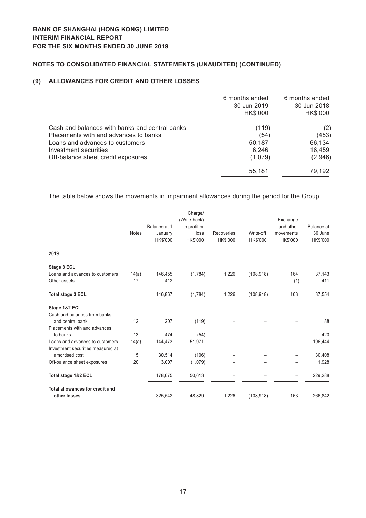## **(9) ALLOWANCES FOR CREDIT AND OTHER LOSSES**

|                                                | 6 months ended | 6 months ended |
|------------------------------------------------|----------------|----------------|
|                                                | 30 Jun 2019    | 30 Jun 2018    |
|                                                | HK\$'000       | HK\$'000       |
| Cash and balances with banks and central banks | (119)          | (2)            |
| Placements with and advances to banks          | (54)           | (453)          |
| Loans and advances to customers                | 50,187         | 66,134         |
| Investment securities                          | 6,246          | 16,459         |
| Off-balance sheet credit exposures             | (1,079)        | (2,946)        |
|                                                | 55,181         | 79,192         |
|                                                |                |                |

The table below shows the movements in impairment allowances during the period for the Group.

|       |              | Charge/                            |                                                         |                     |                         |                                           |
|-------|--------------|------------------------------------|---------------------------------------------------------|---------------------|-------------------------|-------------------------------------------|
|       |              |                                    |                                                         |                     |                         | <b>Balance</b> at                         |
|       |              |                                    |                                                         |                     |                         | 30 June                                   |
|       | HK\$'000     | HK\$'000                           | HK\$'000                                                | HK\$'000            | HK\$'000                | HK\$'000                                  |
|       |              |                                    |                                                         |                     |                         |                                           |
|       |              |                                    |                                                         |                     |                         |                                           |
| 14(a) | 146,455      | (1,784)                            | 1,226                                                   | (108, 918)          | 164                     | 37,143                                    |
| 17    | 412          |                                    |                                                         |                     | (1)                     | 411                                       |
|       | 146,867      | (1,784)                            | 1,226                                                   | (108, 918)          | 163                     | 37,554                                    |
|       |              |                                    |                                                         |                     |                         |                                           |
|       |              |                                    |                                                         |                     |                         |                                           |
| 12    | 207          | (119)                              |                                                         |                     |                         | 88                                        |
|       |              |                                    |                                                         |                     |                         |                                           |
| 13    | 474          | (54)                               |                                                         |                     |                         | 420                                       |
| 14(a) | 144,473      | 51,971                             |                                                         |                     |                         | 196,444                                   |
| 15    | 30,514       |                                    |                                                         |                     |                         | 30,408                                    |
| 20    | 3,007        | (1,079)                            |                                                         |                     |                         | 1,928                                     |
|       | 178,675      | 50,613                             |                                                         |                     |                         | 229,288                                   |
|       |              |                                    |                                                         |                     |                         | 266,842                                   |
|       | <b>Notes</b> | Balance at 1<br>January<br>325,542 | (Write-back)<br>to profit or<br>loss<br>(106)<br>48,829 | Recoveries<br>1,226 | Write-off<br>(108, 918) | Exchange<br>and other<br>movements<br>163 |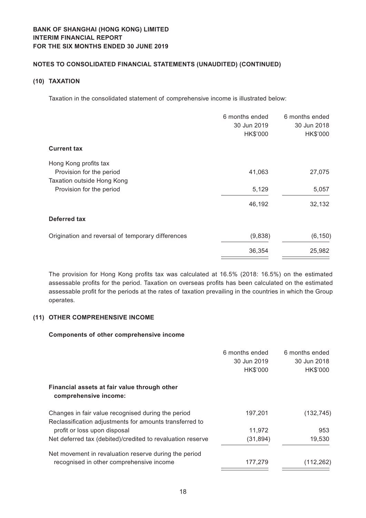# **BANK OF SHANGHAI (HONG KONG) LIMITED Interim financial report For the six months ended 30 June 2019**

## **Notes to Consolidated Financial Statements (Unaudited) (CONTINUED)**

## **(10) TAXATION**

Taxation in the consolidated statement of comprehensive income is illustrated below:

|         | 30 Jun 2018<br>HK\$'000 |
|---------|-------------------------|
|         |                         |
|         |                         |
| 41,063  | 27,075                  |
|         |                         |
| 5,129   | 5,057                   |
| 46,192  | 32,132                  |
|         |                         |
| (9,838) | (6, 150)                |
| 36,354  | 25,982                  |
|         | 30 Jun 2019<br>HK\$'000 |

The provision for Hong Kong profits tax was calculated at 16.5% (2018: 16.5%) on the estimated assessable profits for the period. Taxation on overseas profits has been calculated on the estimated assessable profit for the periods at the rates of taxation prevailing in the countries in which the Group operates.

## **(11) OTHER COMPREHENSIVE INCOME**

## **Components of other comprehensive income**

|                                                                                                               | 6 months ended<br>30 Jun 2019<br>HK\$'000 | 6 months ended<br>30 Jun 2018<br>HK\$'000 |
|---------------------------------------------------------------------------------------------------------------|-------------------------------------------|-------------------------------------------|
| Financial assets at fair value through other<br>comprehensive income:                                         |                                           |                                           |
| Changes in fair value recognised during the period<br>Reclassification adjustments for amounts transferred to | 197,201                                   | (132, 745)                                |
| profit or loss upon disposal                                                                                  | 11,972                                    | 953                                       |
| Net deferred tax (debited)/credited to revaluation reserve                                                    | (31, 894)                                 | 19,530                                    |
| Net movement in revaluation reserve during the period                                                         |                                           |                                           |
| recognised in other comprehensive income                                                                      | 177,279                                   | (112,262)                                 |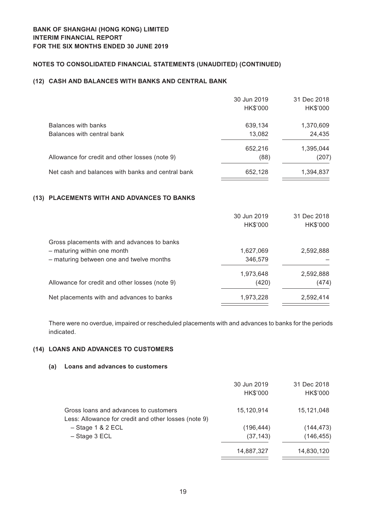## **(12) CASH AND BALANCES WITH BANKS AND CENTRAL BANK**

|                                                   | 30 Jun 2019 | 31 Dec 2018 |
|---------------------------------------------------|-------------|-------------|
|                                                   | HK\$'000    | HK\$'000    |
| Balances with banks                               | 639,134     | 1,370,609   |
| Balances with central bank                        | 13,082      | 24,435      |
|                                                   | 652,216     | 1,395,044   |
| Allowance for credit and other losses (note 9)    | (88)        | (207)       |
| Net cash and balances with banks and central bank | 652,128     | 1,394,837   |

## **(13) PLACEMENTS WITH AND ADVANCES TO BANKS**

|                                                | 30 Jun 2019<br>HK\$'000 | 31 Dec 2018<br>HK\$'000 |
|------------------------------------------------|-------------------------|-------------------------|
| Gross placements with and advances to banks    |                         |                         |
| - maturing within one month                    | 1,627,069               | 2,592,888               |
| - maturing between one and twelve months       | 346,579                 |                         |
|                                                | 1,973,648               | 2,592,888               |
| Allowance for credit and other losses (note 9) | (420)                   | (474)                   |
| Net placements with and advances to banks      | 1,973,228               | 2,592,414               |

There were no overdue, impaired or rescheduled placements with and advances to banks for the periods indicated.

## **(14) LOANS AND ADVANCES TO CUSTOMERS**

#### **(a) Loans and advances to customers**

|                                                                                               | 30 Jun 2019<br>HK\$'000 | 31 Dec 2018<br>HK\$'000 |
|-----------------------------------------------------------------------------------------------|-------------------------|-------------------------|
| Gross loans and advances to customers<br>Less: Allowance for credit and other losses (note 9) | 15,120,914              | 15,121,048              |
| $-$ Stage 1 & 2 ECL                                                                           | (196, 444)              | (144, 473)              |
| $-$ Stage 3 ECL                                                                               | (37, 143)               | (146, 455)              |
|                                                                                               | 14,887,327              | 14,830,120              |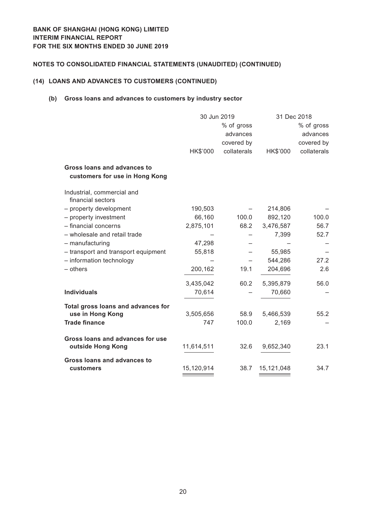## **(14) LOANS AND ADVANCES TO CUSTOMERS (CONTINUED)**

## **(b) Gross loans and advances to customers by industry sector**

|                                                                      | 30 Jun 2019 |             | 31 Dec 2018 |             |
|----------------------------------------------------------------------|-------------|-------------|-------------|-------------|
|                                                                      |             | % of gross  |             | % of gross  |
|                                                                      |             | advances    |             | advances    |
|                                                                      |             | covered by  |             | covered by  |
|                                                                      | HK\$'000    | collaterals | HK\$'000    | collaterals |
| <b>Gross loans and advances to</b><br>customers for use in Hong Kong |             |             |             |             |
| Industrial, commercial and<br>financial sectors                      |             |             |             |             |
| - property development                                               | 190,503     |             | 214,806     |             |
| - property investment                                                | 66,160      | 100.0       | 892,120     | 100.0       |
| - financial concerns                                                 | 2,875,101   | 68.2        | 3,476,587   | 56.7        |
| - wholesale and retail trade                                         |             |             | 7,399       | 52.7        |
| - manufacturing                                                      | 47,298      |             |             |             |
| - transport and transport equipment                                  | 55,818      |             | 55,985      |             |
| - information technology                                             |             |             | 544,286     | 27.2        |
| $-$ others                                                           | 200,162     | 19.1        | 204,696     | 2.6         |
|                                                                      | 3,435,042   | 60.2        | 5,395,879   | 56.0        |
| <b>Individuals</b>                                                   | 70,614      |             | 70,660      |             |
| Total gross loans and advances for                                   |             |             |             |             |
| use in Hong Kong                                                     | 3,505,656   | 58.9        | 5,466,539   | 55.2        |
| <b>Trade finance</b>                                                 | 747         | 100.0       | 2,169       |             |
| Gross loans and advances for use<br>outside Hong Kong                | 11,614,511  | 32.6        | 9,652,340   | 23.1        |
| <b>Gross loans and advances to</b><br>customers                      | 15,120,914  | 38.7        | 15,121,048  | 34.7        |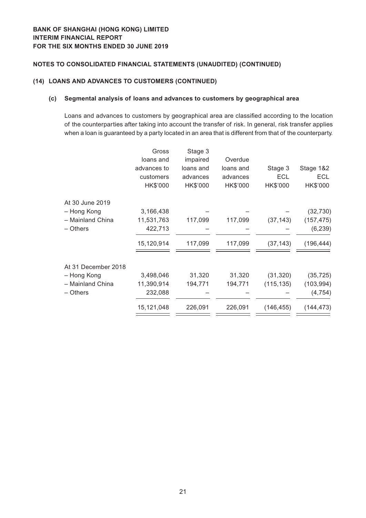## **(14) LOANS AND ADVANCES TO CUSTOMERS (CONTINUED)**

## **(c) Segmental analysis of loans and advances to customers by geographical area**

Loans and advances to customers by geographical area are classified according to the location of the counterparties after taking into account the transfer of risk. In general, risk transfer applies when a loan is guaranteed by a party located in an area that is different from that of the counterparty.

| Overdue<br>loans and<br>impaired<br>loans and<br>advances to<br>loans and<br>Stage 3<br>ECL<br>customers<br>advances<br>advances<br>HK\$'000<br>HK\$'000<br>HK\$'000<br>HK\$'000<br>At 30 June 2019<br>- Hong Kong<br>3,166,438<br>- Mainland China<br>11,531,763<br>117,099<br>117,099<br>(37, 143)<br>- Others<br>422,713<br>15,120,914<br>117,099<br>117,099<br>(37, 143)<br>At 31 December 2018<br>31,320<br>31,320<br>3,498,046<br>(31, 320)<br>- Hong Kong<br>- Mainland China<br>11,390,914<br>194,771<br>194,771<br>(115, 135)<br>- Others<br>232,088<br>15,121,048<br>226,091<br>226,091<br>(146, 455) | Gross | Stage 3 |  |            |
|-----------------------------------------------------------------------------------------------------------------------------------------------------------------------------------------------------------------------------------------------------------------------------------------------------------------------------------------------------------------------------------------------------------------------------------------------------------------------------------------------------------------------------------------------------------------------------------------------------------------|-------|---------|--|------------|
|                                                                                                                                                                                                                                                                                                                                                                                                                                                                                                                                                                                                                 |       |         |  |            |
|                                                                                                                                                                                                                                                                                                                                                                                                                                                                                                                                                                                                                 |       |         |  | Stage 1&2  |
|                                                                                                                                                                                                                                                                                                                                                                                                                                                                                                                                                                                                                 |       |         |  | <b>ECL</b> |
|                                                                                                                                                                                                                                                                                                                                                                                                                                                                                                                                                                                                                 |       |         |  | HK\$'000   |
|                                                                                                                                                                                                                                                                                                                                                                                                                                                                                                                                                                                                                 |       |         |  |            |
|                                                                                                                                                                                                                                                                                                                                                                                                                                                                                                                                                                                                                 |       |         |  | (32, 730)  |
|                                                                                                                                                                                                                                                                                                                                                                                                                                                                                                                                                                                                                 |       |         |  | (157, 475) |
|                                                                                                                                                                                                                                                                                                                                                                                                                                                                                                                                                                                                                 |       |         |  | (6, 239)   |
|                                                                                                                                                                                                                                                                                                                                                                                                                                                                                                                                                                                                                 |       |         |  | (196, 444) |
|                                                                                                                                                                                                                                                                                                                                                                                                                                                                                                                                                                                                                 |       |         |  |            |
|                                                                                                                                                                                                                                                                                                                                                                                                                                                                                                                                                                                                                 |       |         |  | (35, 725)  |
|                                                                                                                                                                                                                                                                                                                                                                                                                                                                                                                                                                                                                 |       |         |  | (103, 994) |
|                                                                                                                                                                                                                                                                                                                                                                                                                                                                                                                                                                                                                 |       |         |  | (4, 754)   |
|                                                                                                                                                                                                                                                                                                                                                                                                                                                                                                                                                                                                                 |       |         |  | (144, 473) |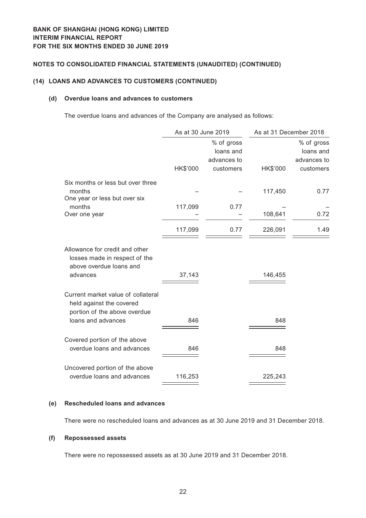## **(14) LOANS AND ADVANCES TO CUSTOMERS (CONTINUED)**

#### **(d) Overdue loans and advances to customers**

The overdue loans and advances of the Company are analysed as follows:

|                                                                                                        | As at 30 June 2019 |                                                     | As at 31 December 2018 |                                                     |
|--------------------------------------------------------------------------------------------------------|--------------------|-----------------------------------------------------|------------------------|-----------------------------------------------------|
|                                                                                                        | HK\$'000           | % of gross<br>loans and<br>advances to<br>customers | HK\$'000               | % of gross<br>loans and<br>advances to<br>customers |
| Six months or less but over three<br>months                                                            |                    |                                                     | 117,450                | 0.77                                                |
| One year or less but over six<br>months                                                                | 117,099            | 0.77                                                |                        |                                                     |
| Over one year                                                                                          |                    |                                                     | 108,641                | 0.72                                                |
|                                                                                                        | 117,099            | 0.77                                                | 226,091                | 1.49                                                |
| Allowance for credit and other<br>losses made in respect of the<br>above overdue loans and<br>advances | 37,143             |                                                     | 146,455                |                                                     |
| Current market value of collateral<br>held against the covered<br>portion of the above overdue         |                    |                                                     |                        |                                                     |
| loans and advances                                                                                     | 846                |                                                     | 848                    |                                                     |
| Covered portion of the above<br>overdue loans and advances                                             | 846                |                                                     | 848                    |                                                     |
| Uncovered portion of the above<br>overdue loans and advances                                           | 116,253            |                                                     | 225,243                |                                                     |
|                                                                                                        |                    |                                                     |                        |                                                     |

#### **(e) Rescheduled loans and advances**

There were no rescheduled loans and advances as at 30 June 2019 and 31 December 2018.

#### **(f) Repossessed assets**

There were no repossessed assets as at 30 June 2019 and 31 December 2018.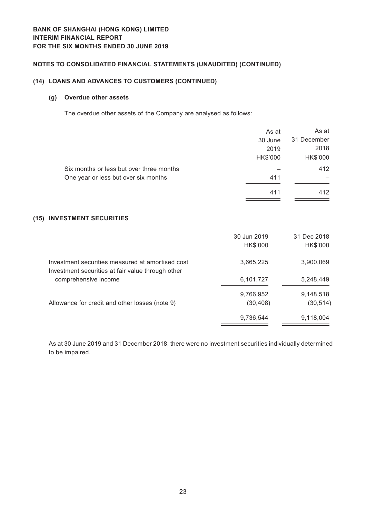## **(14) LOANS AND ADVANCES TO CUSTOMERS (CONTINUED)**

## **(g) Overdue other assets**

The overdue other assets of the Company are analysed as follows:

|                                                                                                       | As at                   | As at                   |
|-------------------------------------------------------------------------------------------------------|-------------------------|-------------------------|
|                                                                                                       | 30 June                 | 31 December             |
|                                                                                                       | 2019                    | 2018                    |
|                                                                                                       | HK\$'000                | HK\$'000                |
| Six months or less but over three months                                                              |                         | 412                     |
| One year or less but over six months                                                                  | 411                     |                         |
|                                                                                                       | 411                     | 412                     |
| (15) INVESTMENT SECURITIES                                                                            |                         |                         |
|                                                                                                       | 30 Jun 2019<br>HK\$'000 | 31 Dec 2018<br>HK\$'000 |
| Investment securities measured at amortised cost<br>Investment securities at fair value through other | 3,665,225               | 3,900,069               |
| comprehensive income                                                                                  | 6,101,727               | 5,248,449               |
|                                                                                                       | 9,766,952               | 9,148,518               |
| Allowance for credit and other losses (note 9)                                                        | (30, 408)               | (30, 514)               |
|                                                                                                       | 9,736,544               | 9,118,004               |
|                                                                                                       |                         |                         |

As at 30 June 2019 and 31 December 2018, there were no investment securities individually determined to be impaired.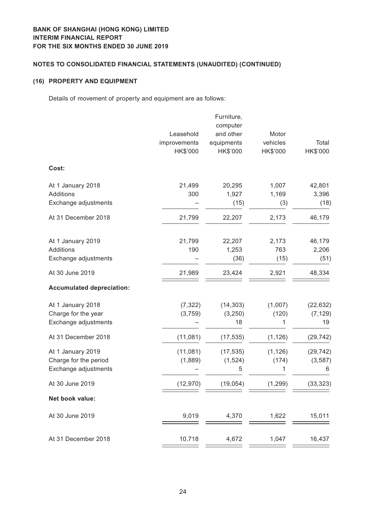# **BANK OF SHANGHAI (HONG KONG) LIMITED Interim financial report For the six months ended 30 June 2019**

# **Notes to Consolidated Financial Statements (Unaudited) (CONTINUED)**

## **(16) PROPERTY AND EQUIPMENT**

Details of movement of property and equipment are as follows:

|                                                                    | Leasehold<br>improvements<br>HK\$'000 | Furniture,<br>computer<br>and other<br>equipments<br>HK\$'000 | Motor<br>vehicles<br>HK\$'000 | Total<br>HK\$'000           |
|--------------------------------------------------------------------|---------------------------------------|---------------------------------------------------------------|-------------------------------|-----------------------------|
| Cost:                                                              |                                       |                                                               |                               |                             |
| At 1 January 2018<br>Additions<br>Exchange adjustments             | 21,499<br>300                         | 20,295<br>1,927<br>(15)                                       | 1,007<br>1,169<br>(3)         | 42,801<br>3,396<br>(18)     |
| At 31 December 2018                                                | 21,799                                | 22,207                                                        | 2,173                         | 46,179                      |
| At 1 January 2019<br><b>Additions</b><br>Exchange adjustments      | 21,799<br>190                         | 22,207<br>1,253<br>(36)                                       | 2,173<br>763<br>(15)          | 46,179<br>2,206<br>(51)     |
| At 30 June 2019                                                    | 21,989                                | 23,424                                                        | 2,921                         | 48,334                      |
| <b>Accumulated depreciation:</b>                                   |                                       |                                                               |                               |                             |
| At 1 January 2018<br>Charge for the year<br>Exchange adjustments   | (7, 322)<br>(3,759)                   | (14, 303)<br>(3, 250)<br>18                                   | (1,007)<br>(120)<br>1         | (22, 632)<br>(7, 129)<br>19 |
| At 31 December 2018                                                | (11,081)                              | (17, 535)                                                     | (1, 126)                      | (29, 742)                   |
| At 1 January 2019<br>Charge for the period<br>Exchange adjustments | (11,081)<br>(1,889)                   | (17, 535)<br>(1, 524)<br>5                                    | (1, 126)<br>(174)<br>1        | (29, 742)<br>(3, 587)<br>6  |
| At 30 June 2019                                                    | (12, 970)                             | (19, 054)                                                     | (1, 299)                      | (33, 323)                   |
| Net book value:                                                    |                                       |                                                               |                               |                             |
| At 30 June 2019                                                    | 9,019                                 | 4,370                                                         | 1,622                         | 15,011                      |
| At 31 December 2018                                                | 10,718                                | 4,672                                                         | 1,047                         | 16,437                      |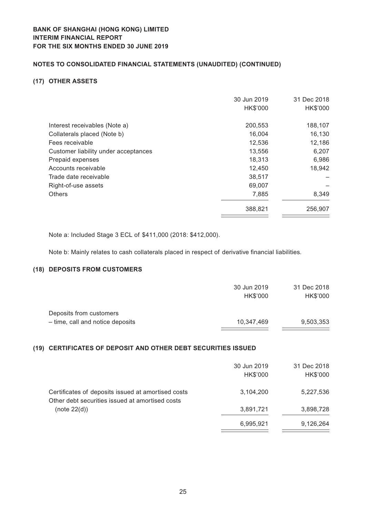## **(17) OTHER ASSETS**

|                                      | 30 Jun 2019 | 31 Dec 2018 |
|--------------------------------------|-------------|-------------|
|                                      | HK\$'000    | HK\$'000    |
| Interest receivables (Note a)        | 200,553     | 188,107     |
| Collaterals placed (Note b)          | 16,004      | 16,130      |
| Fees receivable                      | 12,536      | 12,186      |
| Customer liability under acceptances | 13,556      | 6,207       |
| Prepaid expenses                     | 18,313      | 6,986       |
| Accounts receivable                  | 12,450      | 18,942      |
| Trade date receivable                | 38,517      |             |
| Right-of-use assets                  | 69,007      |             |
| <b>Others</b>                        | 7,885       | 8,349       |
|                                      | 388,821     | 256,907     |

Note a: Included Stage 3 ECL of \$411,000 (2018: \$412,000).

Note b: Mainly relates to cash collaterals placed in respect of derivative financial liabilities.

## **(18) DEPOSITS FROM CUSTOMERS**

| 30 Jun 2019 | 31 Dec 2018 |
|-------------|-------------|
| HK\$'000    | HK\$'000    |
|             |             |
| 10,347,469  | 9,503,353   |
|             |             |

## **(19) CERTIFICATES OF DEPOSIT AND OTHER DEBT SECURITIES ISSUED**

|                                                                                                       | 30 Jun 2019<br>HK\$'000 | 31 Dec 2018<br>HK\$'000 |
|-------------------------------------------------------------------------------------------------------|-------------------------|-------------------------|
| Certificates of deposits issued at amortised costs<br>Other debt securities issued at amortised costs | 3,104,200               | 5,227,536               |
| (note 22(d))                                                                                          | 3,891,721               | 3,898,728               |
|                                                                                                       | 6,995,921               | 9,126,264               |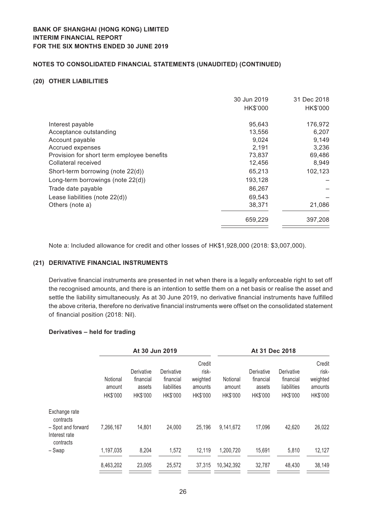#### **(20) OTHER LIABILITIES**

|                                            | 30 Jun 2019 | 31 Dec 2018 |
|--------------------------------------------|-------------|-------------|
|                                            | HK\$'000    | HK\$'000    |
| Interest payable                           | 95.643      | 176,972     |
| Acceptance outstanding                     | 13,556      | 6,207       |
| Account payable                            | 9,024       | 9,149       |
| Accrued expenses                           | 2,191       | 3,236       |
| Provision for short term employee benefits | 73,837      | 69,486      |
| Collateral received                        | 12,456      | 8,949       |
| Short-term borrowing (note 22(d))          | 65,213      | 102,123     |
| Long-term borrowings (note 22(d))          | 193,128     |             |
| Trade date payable                         | 86,267      |             |
| Lease liabilities (note 22(d))             | 69,543      |             |
| Others (note a)                            | 38,371      | 21,086      |
|                                            | 659,229     | 397,208     |

Note a: Included allowance for credit and other losses of HK\$1,928,000 (2018: \$3,007,000).

#### **(21) DERIVATIVE FINANCIAL INSTRUMENTS**

Derivative financial instruments are presented in net when there is a legally enforceable right to set off the recognised amounts, and there is an intention to settle them on a net basis or realise the asset and settle the liability simultaneously. As at 30 June 2019, no derivative financial instruments have fulfilled the above criteria, therefore no derivative financial instruments were offset on the consolidated statement of financial position (2018: Nil).

#### **Derivatives – held for trading**

|                                                  |                                | At 30 Jun 2019                                |                                                    |                                                    |                                | At 31 Dec 2018                                |                                                    |                                                    |
|--------------------------------------------------|--------------------------------|-----------------------------------------------|----------------------------------------------------|----------------------------------------------------|--------------------------------|-----------------------------------------------|----------------------------------------------------|----------------------------------------------------|
|                                                  | Notional<br>amount<br>HK\$'000 | Derivative<br>financial<br>assets<br>HK\$'000 | Derivative<br>financial<br>liabilities<br>HK\$'000 | Credit<br>risk-<br>weighted<br>amounts<br>HK\$'000 | Notional<br>amount<br>HK\$'000 | Derivative<br>financial<br>assets<br>HK\$'000 | Derivative<br>financial<br>liabilities<br>HK\$'000 | Credit<br>risk-<br>weighted<br>amounts<br>HK\$'000 |
| Exchange rate<br>contracts                       |                                |                                               |                                                    |                                                    |                                |                                               |                                                    |                                                    |
| - Spot and forward<br>Interest rate<br>contracts | 7,266,167                      | 14,801                                        | 24,000                                             | 25,196                                             | 9,141,672                      | 17,096                                        | 42,620                                             | 26,022                                             |
| - Swap                                           | 1,197,035                      | 8,204                                         | 1,572                                              | 12,119                                             | 1,200,720                      | 15,691                                        | 5,810                                              | 12,127                                             |
|                                                  | 8,463,202                      | 23,005                                        | 25,572                                             | 37,315                                             | 10,342,392                     | 32,787                                        | 48,430                                             | 38,149                                             |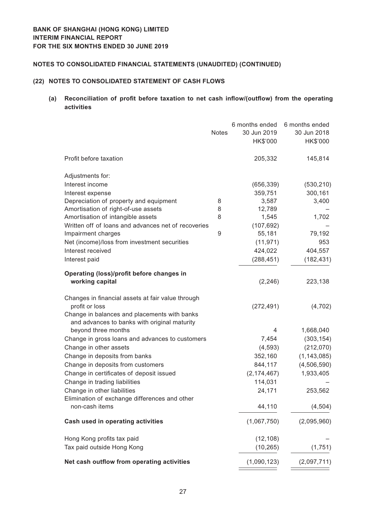## **(22) NOTES TO CONSOLIDATED STATEMENT OF CASH FLOWS**

# **(a) Reconciliation of profit before taxation to net cash inflow/(outflow) from the operating activities**

|                                                     |              | 6 months ended | 6 months ended |
|-----------------------------------------------------|--------------|----------------|----------------|
|                                                     | <b>Notes</b> | 30 Jun 2019    | 30 Jun 2018    |
|                                                     |              | HK\$'000       | HK\$'000       |
| Profit before taxation                              |              | 205,332        | 145,814        |
| Adjustments for:                                    |              |                |                |
| Interest income                                     |              | (656, 339)     | (530, 210)     |
| Interest expense                                    |              | 359,751        | 300,161        |
| Depreciation of property and equipment              | 8            | 3,587          | 3,400          |
| Amortisation of right-of-use assets                 | 8            | 12,789         |                |
| Amortisation of intangible assets                   | 8            | 1,545          | 1,702          |
| Written off of loans and advances net of recoveries |              | (107, 692)     |                |
| Impairment charges                                  | 9            | 55,181         | 79,192         |
| Net (income)/loss from investment securities        |              | (11, 971)      | 953            |
| Interest received                                   |              | 424,022        | 404,557        |
| Interest paid                                       |              | (288, 451)     | (182, 431)     |
| Operating (loss)/profit before changes in           |              |                |                |
| working capital                                     |              | (2, 246)       | 223,138        |
| Changes in financial assets at fair value through   |              |                |                |
| profit or loss                                      |              | (272, 491)     | (4, 702)       |
| Change in balances and placements with banks        |              |                |                |
| and advances to banks with original maturity        |              |                |                |
| beyond three months                                 |              | 4              | 1,668,040      |
| Change in gross loans and advances to customers     |              | 7,454          | (303, 154)     |
| Change in other assets                              |              | (4, 593)       | (212,070)      |
| Change in deposits from banks                       |              | 352,160        | (1, 143, 085)  |
| Change in deposits from customers                   |              | 844,117        | (4,506,590)    |
| Change in certificates of deposit issued            |              | (2, 174, 467)  | 1,933,405      |
| Change in trading liabilities                       |              | 114,031        |                |
| Change in other liabilities                         |              | 24,171         | 253,562        |
| Elimination of exchange differences and other       |              |                |                |
| non-cash items                                      |              | 44,110         | (4,504)        |
| <b>Cash used in operating activities</b>            |              | (1,067,750)    | (2,095,960)    |
| Hong Kong profits tax paid                          |              | (12, 108)      |                |
| Tax paid outside Hong Kong                          |              | (10, 265)      | (1,751)        |
| Net cash outflow from operating activities          |              | (1,090,123)    | (2,097,711)    |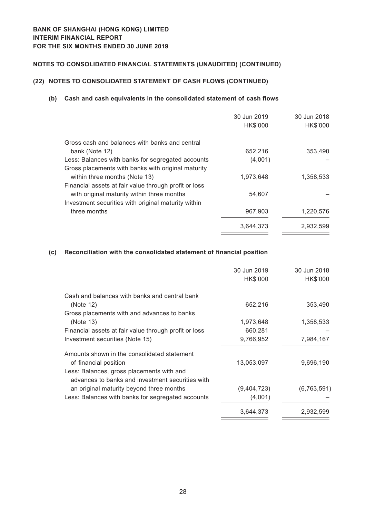# **(22) NOTES TO CONSOLIDATED STATEMENT OF CASH FLOWS (CONTINUED)**

## **(b) Cash and cash equivalents in the consolidated statement of cash flows**

|                                                       | 30 Jun 2019 | 30 Jun 2018 |
|-------------------------------------------------------|-------------|-------------|
|                                                       | HK\$'000    | HK\$'000    |
| Gross cash and balances with banks and central        |             |             |
| bank (Note 12)                                        | 652,216     | 353,490     |
| Less: Balances with banks for segregated accounts     | (4,001)     |             |
| Gross placements with banks with original maturity    |             |             |
| within three months (Note 13)                         | 1,973,648   | 1,358,533   |
| Financial assets at fair value through profit or loss |             |             |
| with original maturity within three months            | 54.607      |             |
| Investment securities with original maturity within   |             |             |
| three months                                          | 967,903     | 1,220,576   |
|                                                       | 3,644,373   | 2,932,599   |
|                                                       |             |             |

## **(c) Reconciliation with the consolidated statement of financial position**

|                                                       | 30 Jun 2019<br>HK\$'000 | 30 Jun 2018<br>HK\$'000 |
|-------------------------------------------------------|-------------------------|-------------------------|
| Cash and balances with banks and central bank         |                         |                         |
| (Note 12)                                             | 652,216                 | 353,490                 |
| Gross placements with and advances to banks           |                         |                         |
| (Note 13)                                             | 1,973,648               | 1,358,533               |
| Financial assets at fair value through profit or loss | 660,281                 |                         |
| Investment securities (Note 15)                       | 9,766,952               | 7,984,167               |
| Amounts shown in the consolidated statement           |                         |                         |
| of financial position                                 | 13,053,097              | 9,696,190               |
| Less: Balances, gross placements with and             |                         |                         |
| advances to banks and investment securities with      |                         |                         |
| an original maturity beyond three months              | (9,404,723)             | (6,763,591)             |
| Less: Balances with banks for segregated accounts     | (4,001)                 |                         |
|                                                       | 3,644,373               | 2,932,599               |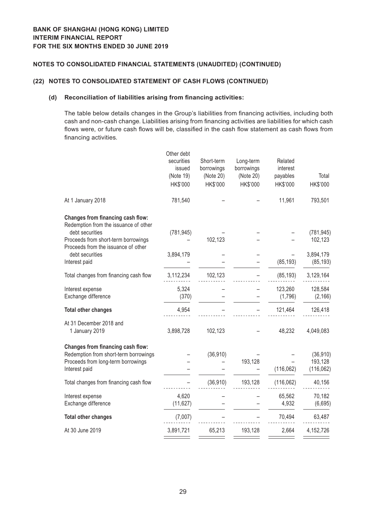## **(22) NOTES TO CONSOLIDATED STATEMENT OF CASH FLOWS (CONTINUED)**

## **(d) Reconciliation of liabilities arising from financing activities:**

The table below details changes in the Group's liabilities from financing activities, including both cash and non-cash change. Liabilities arising from financing activities are liabilities for which cash flows were, or future cash flows will be, classified in the cash flow statement as cash flows from financing activities.

| securities<br>issued<br>(Note 19)<br>HK\$'000 | Short-term<br>borrowings<br>(Note 20)<br>HK\$'000 | Long-term<br>borrowings<br>(Note 20)<br>HK\$'000 | Related<br>interest<br>payables<br>HK\$'000 | Total<br>HK\$'000                  |
|-----------------------------------------------|---------------------------------------------------|--------------------------------------------------|---------------------------------------------|------------------------------------|
| 781,540                                       |                                                   |                                                  | 11,961                                      | 793,501                            |
| (781, 945)                                    | 102,123                                           |                                                  |                                             | (781, 945)<br>102,123              |
| 3,894,179                                     |                                                   |                                                  | (85, 193)                                   | 3,894,179<br>(85, 193)             |
| 3,112,234                                     | 102,123                                           |                                                  | (85, 193)                                   | 3,129,164                          |
| 5,324<br>(370)                                |                                                   |                                                  | 123,260<br>(1,796)                          | 128,584<br>(2, 166)                |
| 4,954                                         |                                                   |                                                  | 121,464                                     | 126,418                            |
| 3,898,728                                     | 102,123                                           |                                                  | 48,232                                      | 4,049,083                          |
|                                               | (36, 910)                                         | 193,128                                          | (116, 062)                                  | (36, 910)<br>193,128<br>(116, 062) |
|                                               | (36, 910)                                         | 193,128                                          | (116,062)                                   | 40,156                             |
| 4,620<br>(11, 627)                            |                                                   |                                                  | 65,562<br>4,932                             | 70,182<br>(6,695)                  |
| (7,007)                                       |                                                   |                                                  | 70,494                                      | 63,487                             |
| 3,891,721                                     | 65,213                                            | 193,128                                          | 2,664                                       | 4,152,726                          |
|                                               | Other debt                                        |                                                  |                                             |                                    |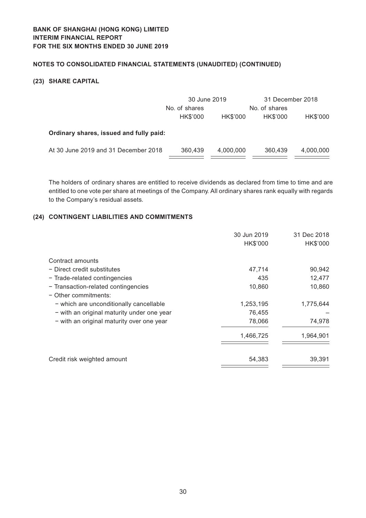## **(23) SHARE CAPITAL**

|                                         | 30 June 2019  |           | 31 December 2018 |           |  |
|-----------------------------------------|---------------|-----------|------------------|-----------|--|
|                                         | No. of shares |           | No. of shares    |           |  |
|                                         | HK\$'000      | HK\$'000  | HK\$'000         | HK\$'000  |  |
| Ordinary shares, issued and fully paid: |               |           |                  |           |  |
| At 30 June 2019 and 31 December 2018    | 360,439       | 4,000,000 | 360,439          | 4,000,000 |  |

The holders of ordinary shares are entitled to receive dividends as declared from time to time and are entitled to one vote per share at meetings of the Company. All ordinary shares rank equally with regards to the Company's residual assets.

## **(24) CONTINGENT LIABILITIES AND COMMITMENTS**

|                                            | 30 Jun 2019 | 31 Dec 2018 |
|--------------------------------------------|-------------|-------------|
|                                            | HK\$'000    | HK\$'000    |
| Contract amounts                           |             |             |
| - Direct credit substitutes                | 47,714      | 90,942      |
| - Trade-related contingencies              | 435         | 12,477      |
| - Transaction-related contingencies        | 10,860      | 10,860      |
| $-$ Other commitments:                     |             |             |
| - which are unconditionally cancellable    | 1,253,195   | 1,775,644   |
| - with an original maturity under one year | 76,455      |             |
| - with an original maturity over one year  | 78,066      | 74,978      |
|                                            | 1,466,725   | 1,964,901   |
|                                            |             |             |
| Credit risk weighted amount                | 54,383      | 39,391      |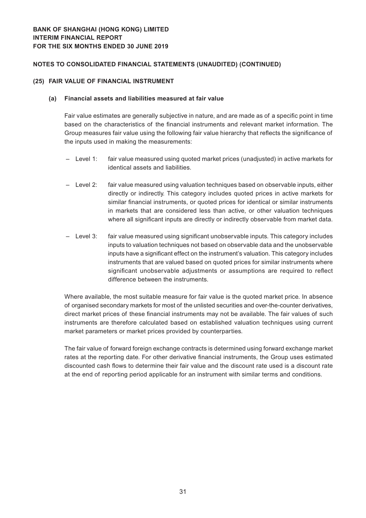#### **(25) FAIR VALUE OF FINANCIAL INSTRUMENT**

#### **(a) Financial assets and liabilities measured at fair value**

Fair value estimates are generally subjective in nature, and are made as of a specific point in time based on the characteristics of the financial instruments and relevant market information. The Group measures fair value using the following fair value hierarchy that reflects the significance of the inputs used in making the measurements:

- Level 1: fair value measured using quoted market prices (unadjusted) in active markets for identical assets and liabilities.
- Level 2: fair value measured using valuation techniques based on observable inputs, either directly or indirectly. This category includes quoted prices in active markets for similar financial instruments, or quoted prices for identical or similar instruments in markets that are considered less than active, or other valuation techniques where all significant inputs are directly or indirectly observable from market data.
- Level 3: fair value measured using significant unobservable inputs. This category includes inputs to valuation techniques not based on observable data and the unobservable inputs have a significant effect on the instrument's valuation. This category includes instruments that are valued based on quoted prices for similar instruments where significant unobservable adjustments or assumptions are required to reflect difference between the instruments.

Where available, the most suitable measure for fair value is the quoted market price. In absence of organised secondary markets for most of the unlisted securities and over-the-counter derivatives, direct market prices of these financial instruments may not be available. The fair values of such instruments are therefore calculated based on established valuation techniques using current market parameters or market prices provided by counterparties.

The fair value of forward foreign exchange contracts is determined using forward exchange market rates at the reporting date. For other derivative financial instruments, the Group uses estimated discounted cash flows to determine their fair value and the discount rate used is a discount rate at the end of reporting period applicable for an instrument with similar terms and conditions.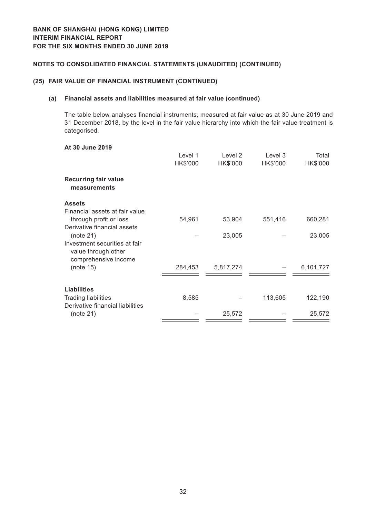## **(25) FAIR VALUE OF FINANCIAL INSTRUMENT (CONTINUED)**

#### **(a) Financial assets and liabilities measured at fair value (continued)**

The table below analyses financial instruments, measured at fair value as at 30 June 2019 and 31 December 2018, by the level in the fair value hierarchy into which the fair value treatment is categorised.

## **At 30 June 2019**

|                                                                              | Level 1<br>HK\$'000 | Level 2<br>HK\$'000 | Level 3<br>HK\$'000 | Total<br>HK\$'000 |
|------------------------------------------------------------------------------|---------------------|---------------------|---------------------|-------------------|
| <b>Recurring fair value</b><br>measurements                                  |                     |                     |                     |                   |
| <b>Assets</b>                                                                |                     |                     |                     |                   |
| Financial assets at fair value<br>through profit or loss                     | 54,961              | 53,904              | 551,416             | 660,281           |
| Derivative financial assets<br>(note 21)                                     |                     | 23,005              |                     | 23,005            |
| Investment securities at fair<br>value through other<br>comprehensive income |                     |                     |                     |                   |
| (note 15)                                                                    | 284,453             | 5,817,274           |                     | 6,101,727         |
| <b>Liabilities</b>                                                           |                     |                     |                     |                   |
| <b>Trading liabilities</b>                                                   | 8,585               |                     | 113,605             | 122,190           |
| Derivative financial liabilities<br>(note 21)                                |                     | 25,572              |                     | 25,572            |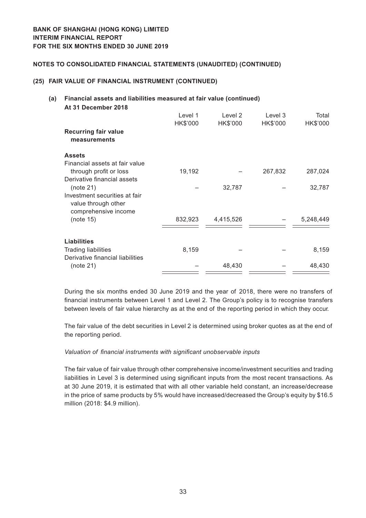#### **(25) FAIR VALUE OF FINANCIAL INSTRUMENT (CONTINUED)**

#### **(a) Financial assets and liabilities measured at fair value (continued) At 31 December 2018**

| <b>Recurring fair value</b><br>measurements                                          | Level 1<br>HK\$'000 | Level 2<br>HK\$'000 | Level 3<br>HK\$'000 | Total<br>HK\$'000 |
|--------------------------------------------------------------------------------------|---------------------|---------------------|---------------------|-------------------|
| <b>Assets</b>                                                                        |                     |                     |                     |                   |
| Financial assets at fair value<br>through profit or loss                             | 19,192              |                     | 267,832             | 287,024           |
| Derivative financial assets<br>(note 21)                                             |                     | 32,787              |                     | 32,787            |
| Investment securities at fair<br>value through other<br>comprehensive income         |                     |                     |                     |                   |
| (note 15)                                                                            | 832,923             | 4,415,526           |                     | 5,248,449         |
|                                                                                      |                     |                     |                     |                   |
| <b>Liabilities</b><br><b>Trading liabilities</b><br>Derivative financial liabilities | 8,159               |                     |                     | 8,159             |
| (note 21)                                                                            |                     | 48,430              |                     | 48,430            |

During the six months ended 30 June 2019 and the year of 2018, there were no transfers of financial instruments between Level 1 and Level 2. The Group's policy is to recognise transfers between levels of fair value hierarchy as at the end of the reporting period in which they occur.

The fair value of the debt securities in Level 2 is determined using broker quotes as at the end of the reporting period.

#### *Valuation of financial instruments with significant unobservable inputs*

The fair value of fair value through other comprehensive income/investment securities and trading liabilities in Level 3 is determined using significant inputs from the most recent transactions. As at 30 June 2019, it is estimated that with all other variable held constant, an increase/decrease in the price of same products by 5% would have increased/decreased the Group's equity by \$16.5 million (2018: \$4.9 million).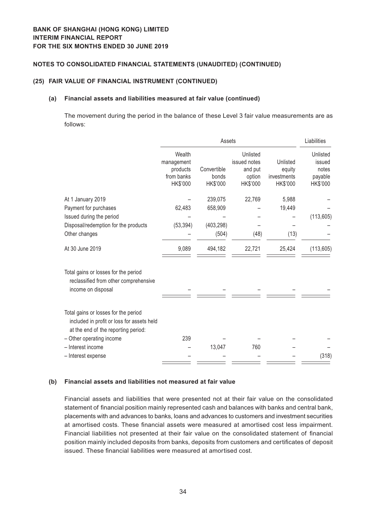#### **(25) FAIR VALUE OF FINANCIAL INSTRUMENT (CONTINUED)**

#### **(a) Financial assets and liabilities measured at fair value (continued)**

The movement during the period in the balance of these Level 3 fair value measurements are as follows:

|                                                                                                                           |                                                            | Liabilities                      |                                                           |                                               |                                                    |
|---------------------------------------------------------------------------------------------------------------------------|------------------------------------------------------------|----------------------------------|-----------------------------------------------------------|-----------------------------------------------|----------------------------------------------------|
|                                                                                                                           | Wealth<br>management<br>products<br>from banks<br>HK\$'000 | Convertible<br>bonds<br>HK\$'000 | Unlisted<br>issued notes<br>and put<br>option<br>HK\$'000 | Unlisted<br>equity<br>investments<br>HK\$'000 | Unlisted<br>issued<br>notes<br>payable<br>HK\$'000 |
|                                                                                                                           |                                                            |                                  |                                                           |                                               |                                                    |
| At 1 January 2019                                                                                                         |                                                            | 239,075                          | 22,769                                                    | 5,988                                         |                                                    |
| Payment for purchases                                                                                                     | 62,483                                                     | 658,909                          |                                                           | 19,449                                        |                                                    |
| Issued during the period                                                                                                  |                                                            |                                  |                                                           |                                               | (113, 605)                                         |
| Disposal/redemption for the products                                                                                      | (53, 394)                                                  | (403, 298)                       |                                                           |                                               |                                                    |
| Other changes                                                                                                             |                                                            | (504)                            | (48)                                                      | (13)                                          |                                                    |
| At 30 June 2019                                                                                                           | 9,089                                                      | 494,182                          | 22,721                                                    | 25,424                                        | (113, 605)                                         |
| Total gains or losses for the period<br>reclassified from other comprehensive<br>income on disposal                       |                                                            |                                  |                                                           |                                               |                                                    |
| Total gains or losses for the period<br>included in profit or loss for assets held<br>at the end of the reporting period: |                                                            |                                  |                                                           |                                               |                                                    |
| - Other operating income                                                                                                  | 239                                                        |                                  |                                                           |                                               |                                                    |
| - Interest income                                                                                                         |                                                            | 13,047                           | 760                                                       |                                               |                                                    |
| - Interest expense                                                                                                        |                                                            |                                  |                                                           |                                               | (318)                                              |

## **(b) Financial assets and liabilities not measured at fair value**

Financial assets and liabilities that were presented not at their fair value on the consolidated statement of financial position mainly represented cash and balances with banks and central bank, placements with and advances to banks, loans and advances to customers and investment securities at amortised costs. These financial assets were measured at amortised cost less impairment. Financial liabilities not presented at their fair value on the consolidated statement of financial position mainly included deposits from banks, deposits from customers and certificates of deposit issued. These financial liabilities were measured at amortised cost.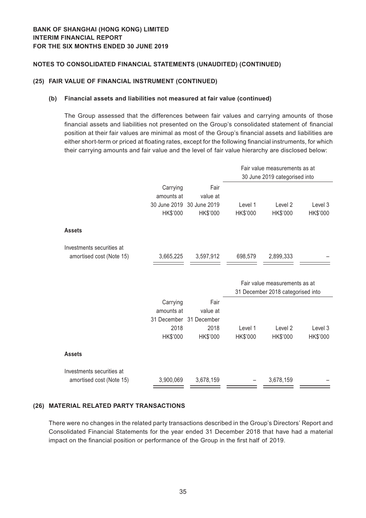## **(25) FAIR VALUE OF FINANCIAL INSTRUMENT (CONTINUED)**

#### **(b) Financial assets and liabilities not measured at fair value (continued)**

The Group assessed that the differences between fair values and carrying amounts of those financial assets and liabilities not presented on the Group's consolidated statement of financial position at their fair values are minimal as most of the Group's financial assets and liabilities are either short-term or priced at floating rates, except for the following financial instruments, for which their carrying amounts and fair value and the level of fair value hierarchy are disclosed below:

|                           |                        |                           | Fair value measurements as at<br>30 June 2019 categorised into |                                   |          |  |
|---------------------------|------------------------|---------------------------|----------------------------------------------------------------|-----------------------------------|----------|--|
|                           |                        |                           |                                                                |                                   |          |  |
|                           | Carrying               | Fair                      |                                                                |                                   |          |  |
|                           | amounts at             | value at                  |                                                                |                                   |          |  |
|                           |                        | 30 June 2019 30 June 2019 | Level 1                                                        | Level <sub>2</sub>                | Level 3  |  |
|                           | HK\$'000               | HK\$'000                  | HK\$'000                                                       | HK\$'000                          | HK\$'000 |  |
| <b>Assets</b>             |                        |                           |                                                                |                                   |          |  |
| Investments securities at |                        |                           |                                                                |                                   |          |  |
| amortised cost (Note 15)  | 3,665,225              | 3,597,912                 | 698,579                                                        | 2,899,333                         |          |  |
|                           |                        |                           |                                                                |                                   |          |  |
|                           |                        |                           |                                                                |                                   |          |  |
|                           |                        |                           |                                                                | Fair value measurements as at     |          |  |
|                           |                        |                           |                                                                | 31 December 2018 categorised into |          |  |
|                           |                        | Fair                      |                                                                |                                   |          |  |
|                           | Carrying<br>amounts at | value at                  |                                                                |                                   |          |  |
|                           | 31 December            | 31 December               |                                                                |                                   |          |  |
|                           | 2018                   | 2018                      | Level 1                                                        | Level <sub>2</sub>                | Level 3  |  |
|                           | HK\$'000               | HK\$'000                  | HK\$'000                                                       | HK\$'000                          | HK\$'000 |  |
| <b>Assets</b>             |                        |                           |                                                                |                                   |          |  |
| Investments securities at |                        |                           |                                                                |                                   |          |  |

## **(26) MATERIAL RELATED PARTY TRANSACTIONS**

There were no changes in the related party transactions described in the Group's Directors' Report and Consolidated Financial Statements for the year ended 31 December 2018 that have had a material impact on the financial position or performance of the Group in the first half of 2019.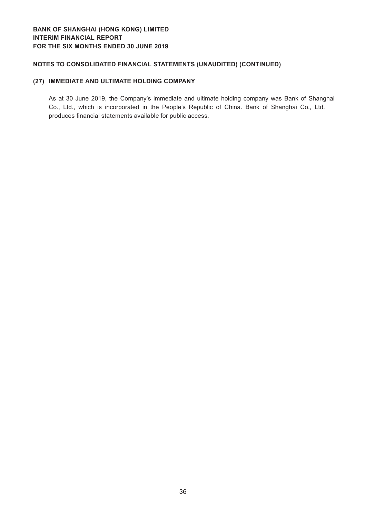# **BANK OF SHANGHAI (HONG KONG) LIMITED Interim financial report For the six months ended 30 June 2019**

# **Notes to Consolidated Financial Statements (Unaudited ) (CONTINUED)**

## **(27) IMMEDIATE AND ULTIMATE HOLDING COMPANY**

As at 30 June 2019, the Company's immediate and ultimate holding company was Bank of Shanghai Co., Ltd., which is incorporated in the People's Republic of China. Bank of Shanghai Co., Ltd. produces financial statements available for public access.